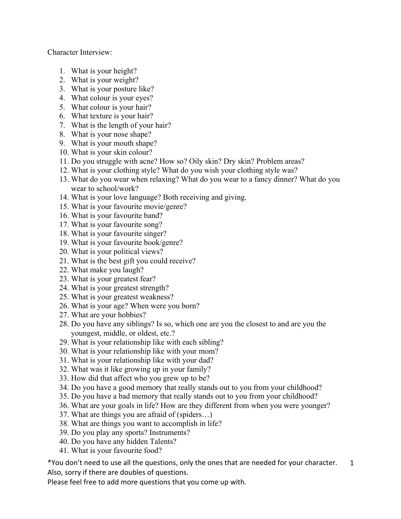Character Interview:

- 1. What is your height?
- 2. What is your weight?
- 3. What is your posture like?
- 4. What colour is your eyes?
- 5. What colour is your hair?
- 6. What texture is your hair?
- 7. What is the length of your hair?
- 8. What is your nose shape?
- 9. What is your mouth shape?
- 10. What is your skin colour?
- 11. Do you struggle with acne? How so? Oily skin? Dry skin? Problem areas?
- 12. What is your clothing style? What do you wish your clothing style was?
- 13. What do you wear when relaxing? What do you wear to a fancy dinner? What do you wear to school/work?
- 14. What is your love language? Both receiving and giving.
- 15. What is your favourite movie/genre?
- 16. What is your favourite band?
- 17. What is your favourite song?
- 18. What is your favourite singer?
- 19. What is your favourite book/genre?
- 20. What is your political views?
- 21. What is the best gift you could receive?
- 22. What make you laugh?
- 23. What is your greatest fear?
- 24. What is your greatest strength?
- 25. What is your greatest weakness?
- 26. What is your age? When were you born?
- 27. What are your hobbies?
- 28. Do you have any siblings? Is so, which one are you the closest to and are you the youngest, middle, or oldest, etc.?
- 29. What is your relationship like with each sibling?
- 30. What is your relationship like with your mom?
- 31. What is your relationship like with your dad?
- 32. What was it like growing up in your family?
- 33. How did that affect who you grew up to be?
- 34. Do you have a good memory that really stands out to you from your childhood?
- 35. Do you have a bad memory that really stands out to you from your childhood?
- 36. What are your goals in life? How are they different from when you were younger?
- 37. What are things you are afraid of (spiders…)
- 38. What are things you want to accomplish in life?
- 39. Do you play any sports? Instruments?
- 40. Do you have any hidden Talents?
- 41. What is your favourite food?

\*You don't need to use all the questions, only the ones that are needed for your character. Also, sorry if there are doubles of questions. 1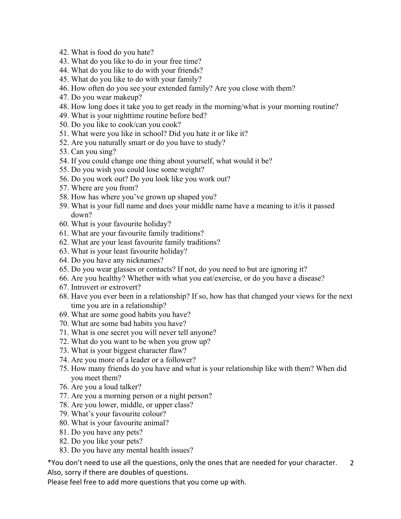- 42. What is food do you hate?
- 43. What do you like to do in your free time?
- 44. What do you like to do with your friends?
- 45. What do you like to do with your family?
- 46. How often do you see your extended family? Are you close with them?
- 47. Do you wear makeup?
- 48. How long does it take you to get ready in the morning/what is your morning routine?
- 49. What is your nighttime routine before bed?
- 50. Do you like to cook/can you cook?
- 51. What were you like in school? Did you hate it or like it?
- 52. Are you naturally smart or do you have to study?
- 53. Can you sing?
- 54. If you could change one thing about yourself, what would it be?
- 55. Do you wish you could lose some weight?
- 56. Do you work out? Do you look like you work out?
- 57. Where are you from?
- 58. How has where you've grown up shaped you?
- 59. What is your full name and does your middle name have a meaning to it/is it passed down?
- 60. What is your favourite holiday?
- 61. What are your favourite family traditions?
- 62. What are your least favourite family traditions?
- 63. What is your least favourite holiday?
- 64. Do you have any nicknames?
- 65. Do you wear glasses or contacts? If not, do you need to but are ignoring it?
- 66. Are you healthy? Whether with what you eat/exercise, or do you have a disease?
- 67. Introvert or extrovert?
- 68. Have you ever been in a relationship? If so, how has that changed your views for the next time you are in a relationship?
- 69. What are some good habits you have?
- 70. What are some bad habits you have?
- 71. What is one secret you will never tell anyone?
- 72. What do you want to be when you grow up?
- 73. What is your biggest character flaw?
- 74. Are you more of a leader or a follower?
- 75. How many friends do you have and what is your relationship like with them? When did you meet them?
- 76. Are you a loud talker?
- 77. Are you a morning person or a night person?
- 78. Are you lower, middle, or upper class?
- 79. What's your favourite colour?
- 80. What is your favourite animal?
- 81. Do you have any pets?
- 82. Do you like your pets?
- 83. Do you have any mental health issues?

\*You don't need to use all the questions, only the ones that are needed for your character. Also, sorry if there are doubles of questions. 2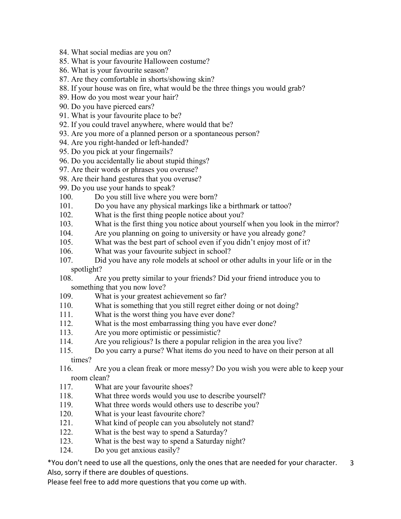- 84. What social medias are you on?
- 85. What is your favourite Halloween costume?
- 86. What is your favourite season?
- 87. Are they comfortable in shorts/showing skin?
- 88. If your house was on fire, what would be the three things you would grab?
- 89. How do you most wear your hair?
- 90. Do you have pierced ears?
- 91. What is your favourite place to be?
- 92. If you could travel anywhere, where would that be?
- 93. Are you more of a planned person or a spontaneous person?
- 94. Are you right-handed or left-handed?
- 95. Do you pick at your fingernails?
- 96. Do you accidentally lie about stupid things?
- 97. Are their words or phrases you overuse?
- 98. Are their hand gestures that you overuse?
- 99. Do you use your hands to speak?
- 100. Do you still live where you were born?
- 101. Do you have any physical markings like a birthmark or tattoo?
- 102. What is the first thing people notice about you?
- 103. What is the first thing you notice about yourself when you look in the mirror?
- 104. Are you planning on going to university or have you already gone?
- 105. What was the best part of school even if you didn't enjoy most of it?
- 106. What was your favourite subject in school?
- 107. Did you have any role models at school or other adults in your life or in the spotlight?
- 108. Are you pretty similar to your friends? Did your friend introduce you to something that you now love?
- 109. What is your greatest achievement so far?
- 110. What is something that you still regret either doing or not doing?
- 111. What is the worst thing you have ever done?
- 112. What is the most embarrassing thing you have ever done?
- 113. Are you more optimistic or pessimistic?
- 114. Are you religious? Is there a popular religion in the area you live?
- 115. Do you carry a purse? What items do you need to have on their person at all times?
- 116. Are you a clean freak or more messy? Do you wish you were able to keep your room clean?
- 117. What are your favourite shoes?
- 118. What three words would you use to describe yourself?
- 119. What three words would others use to describe you?
- 120. What is your least favourite chore?
- 121. What kind of people can you absolutely not stand?
- 122. What is the best way to spend a Saturday?
- 123. What is the best way to spend a Saturday night?
- 124. Do you get anxious easily?

\*You don't need to use all the questions, only the ones that are needed for your character. Also, sorry if there are doubles of questions. 3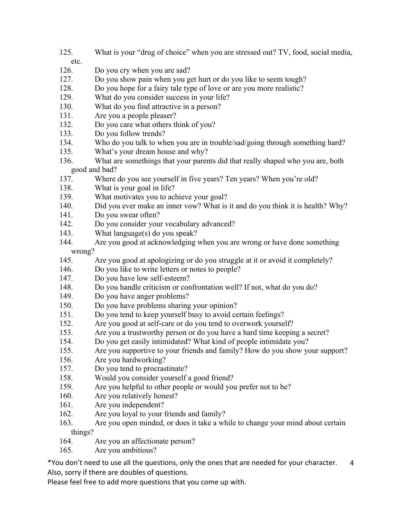- 125. What is your "drug of choice" when you are stressed out? TV, food, social media,
- etc.
- 126. Do you cry when you are sad?
- 127. Do you show pain when you get hurt or do you like to seem tough?
- 128. Do you hope for a fairy tale type of love or are you more realistic?
- 129. What do you consider success in your life?
- 130. What do you find attractive in a person?
- 131. Are you a people pleaser?
- 132. Do you care what others think of you?
- 133. Do you follow trends?
- 134. Who do you talk to when you are in trouble/sad/going through something hard?
- 135. What's your dream house and why?
- 136. What are somethings that your parents did that really shaped who you are, both good and bad?
- 137. Where do you see yourself in five years? Ten years? When you're old?
- 138. What is your goal in life?
- 139. What motivates you to achieve your goal?
- 140. Did you ever make an inner vow? What is it and do you think it is health? Why?
- 141. Do you swear often?
- 142. Do you consider your vocabulary advanced?
- 143. What language(s) do you speak?
- 144. Are you good at acknowledging when you are wrong or have done something wrong?
- 145. Are you good at apologizing or do you struggle at it or avoid it completely?
- 146. Do you like to write letters or notes to people?
- 147. Do you have low self-esteem?
- 148. Do you handle criticism or confrontation well? If not, what do you do?
- 149. Do you have anger problems?
- 150. Do you have problems sharing your opinion?
- 151. Do you tend to keep yourself busy to avoid certain feelings?
- 152. Are you good at self-care or do you tend to overwork yourself?
- 153. Are you a trustworthy person or do you have a hard time keeping a secret?
- 154. Do you get easily intimidated? What kind of people intimidate you?
- 155. Are you supportive to your friends and family? How do you show your support?
- 156. Are you hardworking?
- 157. Do you tend to procrastinate?
- 158. Would you consider yourself a good friend?
- 159. Are you helpful to other people or would you prefer not to be?
- 160. Are you relatively honest?
- 161. Are you independent?
- 162. Are you loyal to your friends and family?
- 163. Are you open minded, or does it take a while to change your mind about certain things?
- 164. Are you an affectionate person?
- 165. Are you ambitious?

\*You don't need to use all the questions, only the ones that are needed for your character. Also, sorry if there are doubles of questions. 4